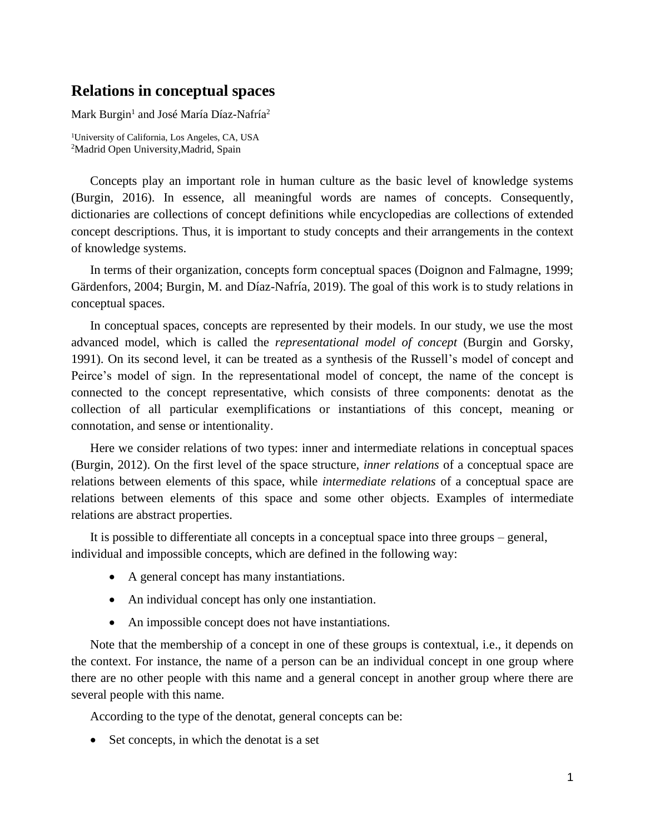## **Relations in conceptual spaces**

Mark Burgin<sup>1</sup> and José María Díaz-Nafría<sup>2</sup>

<sup>1</sup>University of California, Los Angeles, CA, USA <sup>2</sup>Madrid Open University,Madrid, Spain

Concepts play an important role in human culture as the basic level of knowledge systems (Burgin, 2016). In essence, all meaningful words are names of concepts. Consequently, dictionaries are collections of concept definitions while encyclopedias are collections of extended concept descriptions. Thus, it is important to study concepts and their arrangements in the context of knowledge systems.

In terms of their organization, concepts form conceptual spaces (Doignon and Falmagne, 1999; Gärdenfors, 2004; Burgin, M. and Díaz-Nafría, 2019). The goal of this work is to study relations in conceptual spaces.

In conceptual spaces, concepts are represented by their models. In our study, we use the most advanced model, which is called the *representational model of concept* (Burgin and Gorsky, 1991). On its second level, it can be treated as a synthesis of the Russell's model of concept and Peirce's model of sign. In the representational model of concept, the name of the concept is connected to the concept representative, which consists of three components: denotat as the collection of all particular exemplifications or instantiations of this concept, meaning or connotation, and sense or intentionality.

Here we consider relations of two types: inner and intermediate relations in conceptual spaces (Burgin, 2012). On the first level of the space structure, *inner relations* of a conceptual space are relations between elements of this space, while *intermediate relations* of a conceptual space are relations between elements of this space and some other objects. Examples of intermediate relations are abstract properties.

It is possible to differentiate all concepts in a conceptual space into three groups – general, individual and impossible concepts, which are defined in the following way:

- A general concept has many instantiations.
- An individual concept has only one instantiation.
- An impossible concept does not have instantiations.

Note that the membership of a concept in one of these groups is contextual, i.e., it depends on the context. For instance, the name of a person can be an individual concept in one group where there are no other people with this name and a general concept in another group where there are several people with this name.

According to the type of the denotat, general concepts can be:

• Set concepts, in which the denotat is a set